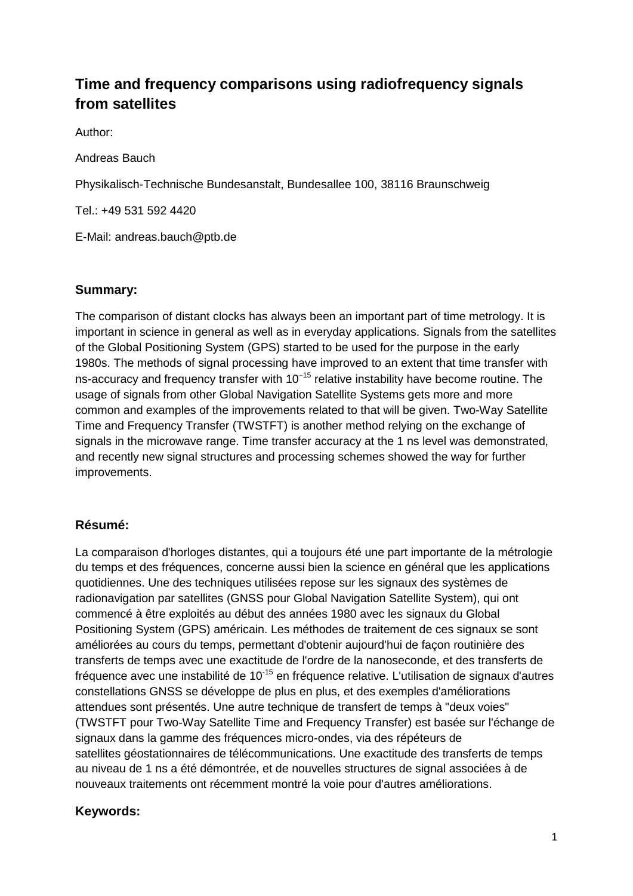# **Time and frequency comparisons using radiofrequency signals from satellites**

Author:

Andreas Bauch

Physikalisch-Technische Bundesanstalt, Bundesallee 100, 38116 Braunschweig

Tel.: +49 531 592 4420

E-Mail: andreas.bauch@ptb.de

#### **Summary:**

The comparison of distant clocks has always been an important part of time metrology. It is important in science in general as well as in everyday applications. Signals from the satellites of the Global Positioning System (GPS) started to be used for the purpose in the early 1980s. The methods of signal processing have improved to an extent that time transfer with ns-accuracy and frequency transfer with 10<sup>−15</sup> relative instability have become routine. The usage of signals from other Global Navigation Satellite Systems gets more and more common and examples of the improvements related to that will be given. Two-Way Satellite Time and Frequency Transfer (TWSTFT) is another method relying on the exchange of signals in the microwave range. Time transfer accuracy at the 1 ns level was demonstrated, and recently new signal structures and processing schemes showed the way for further improvements.

## **Résumé:**

La comparaison d'horloges distantes, qui a toujours été une part importante de la métrologie du temps et des fréquences, concerne aussi bien la science en général que les applications quotidiennes. Une des techniques utilisées repose sur les signaux des systèmes de radionavigation par satellites (GNSS pour Global Navigation Satellite System), qui ont commencé à être exploités au début des années 1980 avec les signaux du Global Positioning System (GPS) américain. Les méthodes de traitement de ces signaux se sont améliorées au cours du temps, permettant d'obtenir aujourd'hui de façon routinière des transferts de temps avec une exactitude de l'ordre de la nanoseconde, et des transferts de fréquence avec une instabilité de 10-15 en fréquence relative. L'utilisation de signaux d'autres constellations GNSS se développe de plus en plus, et des exemples d'améliorations attendues sont présentés. Une autre technique de transfert de temps à "deux voies" (TWSTFT pour Two-Way Satellite Time and Frequency Transfer) est basée sur l'échange de signaux dans la gamme des fréquences micro-ondes, via des répéteurs de satellites géostationnaires de télécommunications. Une exactitude des transferts de temps au niveau de 1 ns a été démontrée, et de nouvelles structures de signal associées à de nouveaux traitements ont récemment montré la voie pour d'autres améliorations.

## **Keywords:**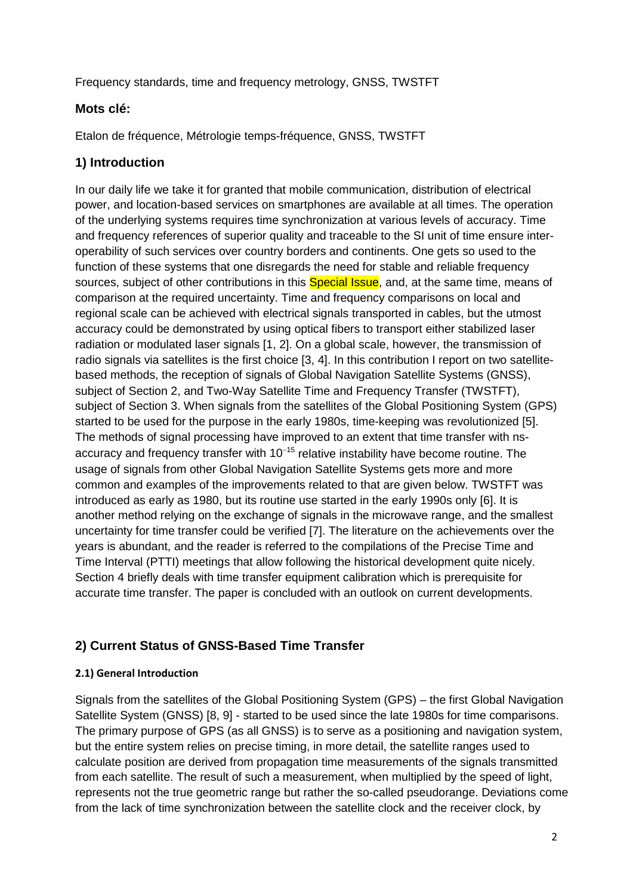Frequency standards, time and frequency metrology, GNSS, TWSTFT

## **Mots clé:**

Etalon de fréquence, Métrologie temps-fréquence, GNSS, TWSTFT

## **1) Introduction**

In our daily life we take it for granted that mobile communication, distribution of electrical power, and location-based services on smartphones are available at all times. The operation of the underlying systems requires time synchronization at various levels of accuracy. Time and frequency references of superior quality and traceable to the SI unit of time ensure interoperability of such services over country borders and continents. One gets so used to the function of these systems that one disregards the need for stable and reliable frequency sources, subject of other contributions in this **Special Issue**, and, at the same time, means of comparison at the required uncertainty. Time and frequency comparisons on local and regional scale can be achieved with electrical signals transported in cables, but the utmost accuracy could be demonstrated by using optical fibers to transport either stabilized laser radiation or modulated laser signals [1, 2]. On a global scale, however, the transmission of radio signals via satellites is the first choice [3, 4]. In this contribution I report on two satellitebased methods, the reception of signals of Global Navigation Satellite Systems (GNSS), subject of Section 2, and Two-Way Satellite Time and Frequency Transfer (TWSTFT), subject of Section 3. When signals from the satellites of the Global Positioning System (GPS) started to be used for the purpose in the early 1980s, time-keeping was revolutionized [5]. The methods of signal processing have improved to an extent that time transfer with nsaccuracy and frequency transfer with 10<sup>−</sup><sup>15</sup> relative instability have become routine. The usage of signals from other Global Navigation Satellite Systems gets more and more common and examples of the improvements related to that are given below. TWSTFT was introduced as early as 1980, but its routine use started in the early 1990s only [6]. It is another method relying on the exchange of signals in the microwave range, and the smallest uncertainty for time transfer could be verified [7]. The literature on the achievements over the years is abundant, and the reader is referred to the compilations of the Precise Time and Time Interval (PTTI) meetings that allow following the historical development quite nicely. Section 4 briefly deals with time transfer equipment calibration which is prerequisite for accurate time transfer. The paper is concluded with an outlook on current developments.

## **2) Current Status of GNSS-Based Time Transfer**

#### **2.1) General Introduction**

Signals from the satellites of the Global Positioning System (GPS) – the first Global Navigation Satellite System (GNSS) [8, 9] - started to be used since the late 1980s for time comparisons. The primary purpose of GPS (as all GNSS) is to serve as a positioning and navigation system, but the entire system relies on precise timing, in more detail, the satellite ranges used to calculate position are derived from propagation time measurements of the signals transmitted from each satellite. The result of such a measurement, when multiplied by the speed of light, represents not the true geometric range but rather the so-called pseudorange. Deviations come from the lack of time synchronization between the satellite clock and the receiver clock, by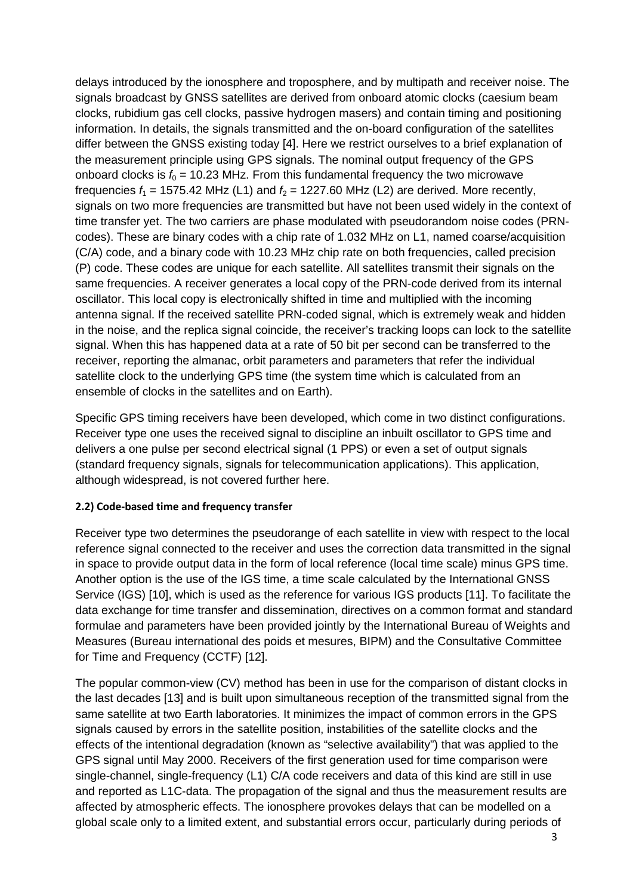delays introduced by the ionosphere and troposphere, and by multipath and receiver noise. The signals broadcast by GNSS satellites are derived from onboard atomic clocks (caesium beam clocks, rubidium gas cell clocks, passive hydrogen masers) and contain timing and positioning information. In details, the signals transmitted and the on-board configuration of the satellites differ between the GNSS existing today [4]. Here we restrict ourselves to a brief explanation of the measurement principle using GPS signals. The nominal output frequency of the GPS onboard clocks is  $f_0 = 10.23$  MHz. From this fundamental frequency the two microwave frequencies  $f_1 = 1575.42$  MHz (L1) and  $f_2 = 1227.60$  MHz (L2) are derived. More recently, signals on two more frequencies are transmitted but have not been used widely in the context of time transfer yet. The two carriers are phase modulated with pseudorandom noise codes (PRNcodes). These are binary codes with a chip rate of 1.032 MHz on L1, named coarse/acquisition (C/A) code, and a binary code with 10.23 MHz chip rate on both frequencies, called precision (P) code. These codes are unique for each satellite. All satellites transmit their signals on the same frequencies. A receiver generates a local copy of the PRN-code derived from its internal oscillator. This local copy is electronically shifted in time and multiplied with the incoming antenna signal. If the received satellite PRN-coded signal, which is extremely weak and hidden in the noise, and the replica signal coincide, the receiver's tracking loops can lock to the satellite signal. When this has happened data at a rate of 50 bit per second can be transferred to the receiver, reporting the almanac, orbit parameters and parameters that refer the individual satellite clock to the underlying GPS time (the system time which is calculated from an ensemble of clocks in the satellites and on Earth).

Specific GPS timing receivers have been developed, which come in two distinct configurations. Receiver type one uses the received signal to discipline an inbuilt oscillator to GPS time and delivers a one pulse per second electrical signal (1 PPS) or even a set of output signals (standard frequency signals, signals for telecommunication applications). This application, although widespread, is not covered further here.

#### **2.2) Code-based time and frequency transfer**

Receiver type two determines the pseudorange of each satellite in view with respect to the local reference signal connected to the receiver and uses the correction data transmitted in the signal in space to provide output data in the form of local reference (local time scale) minus GPS time. Another option is the use of the IGS time, a time scale calculated by the International GNSS Service (IGS) [10], which is used as the reference for various IGS products [11]. To facilitate the data exchange for time transfer and dissemination, directives on a common format and standard formulae and parameters have been provided jointly by the International Bureau of Weights and Measures (Bureau international des poids et mesures, BIPM) and the Consultative Committee for Time and Frequency (CCTF) [12].

The popular common-view (CV) method has been in use for the comparison of distant clocks in the last decades [13] and is built upon simultaneous reception of the transmitted signal from the same satellite at two Earth laboratories. It minimizes the impact of common errors in the GPS signals caused by errors in the satellite position, instabilities of the satellite clocks and the effects of the intentional degradation (known as "selective availability") that was applied to the GPS signal until May 2000. Receivers of the first generation used for time comparison were single-channel, single-frequency (L1) C/A code receivers and data of this kind are still in use and reported as L1C-data. The propagation of the signal and thus the measurement results are affected by atmospheric effects. The ionosphere provokes delays that can be modelled on a global scale only to a limited extent, and substantial errors occur, particularly during periods of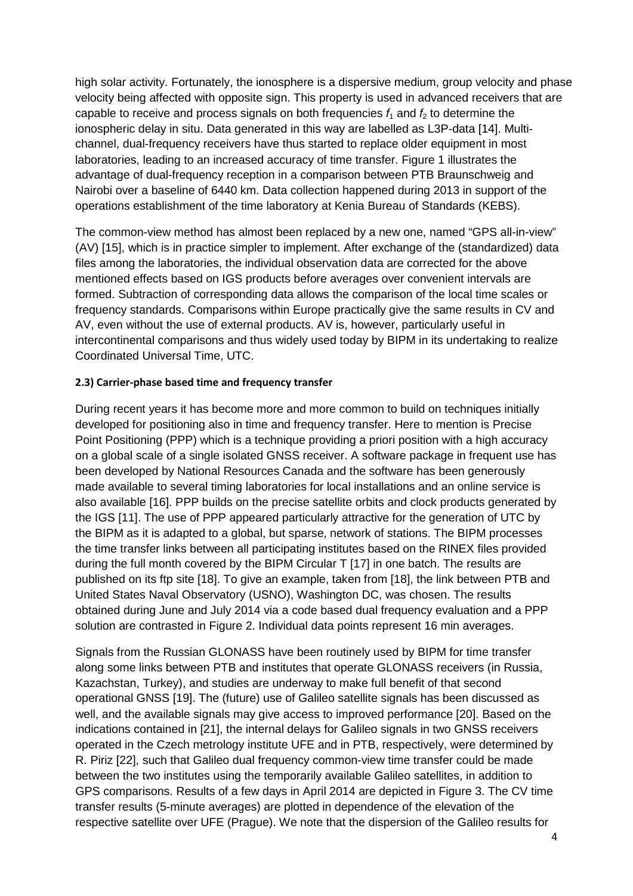high solar activity. Fortunately, the ionosphere is a dispersive medium, group velocity and phase velocity being affected with opposite sign. This property is used in advanced receivers that are capable to receive and process signals on both frequencies  $f_1$  and  $f_2$  to determine the ionospheric delay in situ. Data generated in this way are labelled as L3P-data [14]. Multichannel, dual-frequency receivers have thus started to replace older equipment in most laboratories, leading to an increased accuracy of time transfer. Figure 1 illustrates the advantage of dual-frequency reception in a comparison between PTB Braunschweig and Nairobi over a baseline of 6440 km. Data collection happened during 2013 in support of the operations establishment of the time laboratory at Kenia Bureau of Standards (KEBS).

The common-view method has almost been replaced by a new one, named "GPS all-in-view" (AV) [15], which is in practice simpler to implement. After exchange of the (standardized) data files among the laboratories, the individual observation data are corrected for the above mentioned effects based on IGS products before averages over convenient intervals are formed. Subtraction of corresponding data allows the comparison of the local time scales or frequency standards. Comparisons within Europe practically give the same results in CV and AV, even without the use of external products. AV is, however, particularly useful in intercontinental comparisons and thus widely used today by BIPM in its undertaking to realize Coordinated Universal Time, UTC.

#### **2.3) Carrier-phase based time and frequency transfer**

During recent years it has become more and more common to build on techniques initially developed for positioning also in time and frequency transfer. Here to mention is Precise Point Positioning (PPP) which is a technique providing a priori position with a high accuracy on a global scale of a single isolated GNSS receiver. A software package in frequent use has been developed by National Resources Canada and the software has been generously made available to several timing laboratories for local installations and an online service is also available [16]. PPP builds on the precise satellite orbits and clock products generated by the IGS [11]. The use of PPP appeared particularly attractive for the generation of UTC by the BIPM as it is adapted to a global, but sparse, network of stations. The BIPM processes the time transfer links between all participating institutes based on the RINEX files provided during the full month covered by the BIPM Circular T [17] in one batch. The results are published on its ftp site [18]. To give an example, taken from [18], the link between PTB and United States Naval Observatory (USNO), Washington DC, was chosen. The results obtained during June and July 2014 via a code based dual frequency evaluation and a PPP solution are contrasted in Figure 2. Individual data points represent 16 min averages.

Signals from the Russian GLONASS have been routinely used by BIPM for time transfer along some links between PTB and institutes that operate GLONASS receivers (in Russia, Kazachstan, Turkey), and studies are underway to make full benefit of that second operational GNSS [19]. The (future) use of Galileo satellite signals has been discussed as well, and the available signals may give access to improved performance [20]. Based on the indications contained in [21], the internal delays for Galileo signals in two GNSS receivers operated in the Czech metrology institute UFE and in PTB, respectively, were determined by R. Piriz [22], such that Galileo dual frequency common-view time transfer could be made between the two institutes using the temporarily available Galileo satellites, in addition to GPS comparisons. Results of a few days in April 2014 are depicted in Figure 3. The CV time transfer results (5-minute averages) are plotted in dependence of the elevation of the respective satellite over UFE (Prague). We note that the dispersion of the Galileo results for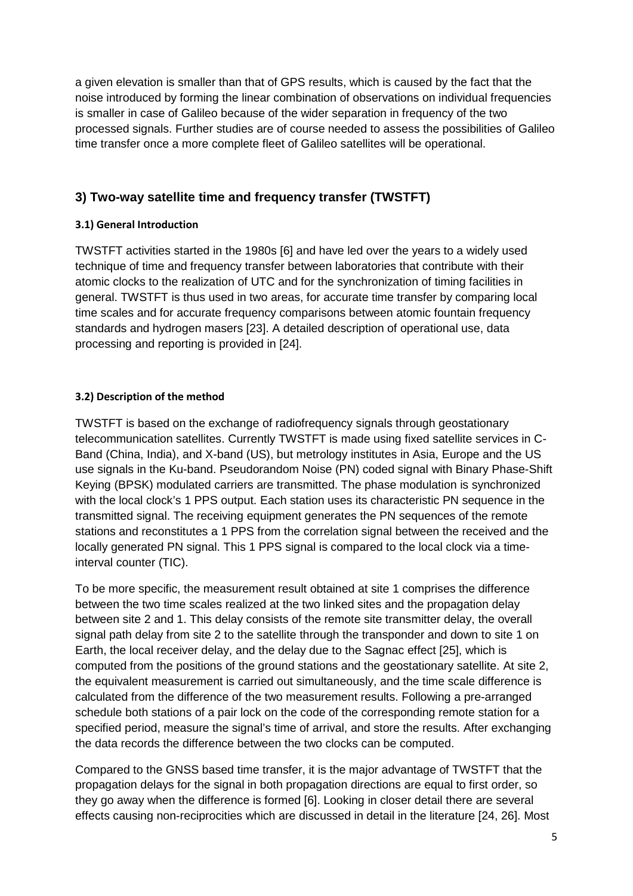a given elevation is smaller than that of GPS results, which is caused by the fact that the noise introduced by forming the linear combination of observations on individual frequencies is smaller in case of Galileo because of the wider separation in frequency of the two processed signals. Further studies are of course needed to assess the possibilities of Galileo time transfer once a more complete fleet of Galileo satellites will be operational.

## **3) Two-way satellite time and frequency transfer (TWSTFT)**

#### **3.1) General Introduction**

TWSTFT activities started in the 1980s [6] and have led over the years to a widely used technique of time and frequency transfer between laboratories that contribute with their atomic clocks to the realization of UTC and for the synchronization of timing facilities in general. TWSTFT is thus used in two areas, for accurate time transfer by comparing local time scales and for accurate frequency comparisons between atomic fountain frequency standards and hydrogen masers [23]. A detailed description of operational use, data processing and reporting is provided in [24].

#### **3.2) Description of the method**

TWSTFT is based on the exchange of radiofrequency signals through geostationary telecommunication satellites. Currently TWSTFT is made using fixed satellite services in C-Band (China, India), and X-band (US), but metrology institutes in Asia, Europe and the US use signals in the Ku-band. Pseudorandom Noise (PN) coded signal with Binary Phase-Shift Keying (BPSK) modulated carriers are transmitted. The phase modulation is synchronized with the local clock's 1 PPS output. Each station uses its characteristic PN sequence in the transmitted signal. The receiving equipment generates the PN sequences of the remote stations and reconstitutes a 1 PPS from the correlation signal between the received and the locally generated PN signal. This 1 PPS signal is compared to the local clock via a timeinterval counter (TIC).

To be more specific, the measurement result obtained at site 1 comprises the difference between the two time scales realized at the two linked sites and the propagation delay between site 2 and 1. This delay consists of the remote site transmitter delay, the overall signal path delay from site 2 to the satellite through the transponder and down to site 1 on Earth, the local receiver delay, and the delay due to the Sagnac effect [25], which is computed from the positions of the ground stations and the geostationary satellite. At site 2, the equivalent measurement is carried out simultaneously, and the time scale difference is calculated from the difference of the two measurement results. Following a pre-arranged schedule both stations of a pair lock on the code of the corresponding remote station for a specified period, measure the signal's time of arrival, and store the results. After exchanging the data records the difference between the two clocks can be computed.

Compared to the GNSS based time transfer, it is the major advantage of TWSTFT that the propagation delays for the signal in both propagation directions are equal to first order, so they go away when the difference is formed [6]. Looking in closer detail there are several effects causing non-reciprocities which are discussed in detail in the literature [24, 26]. Most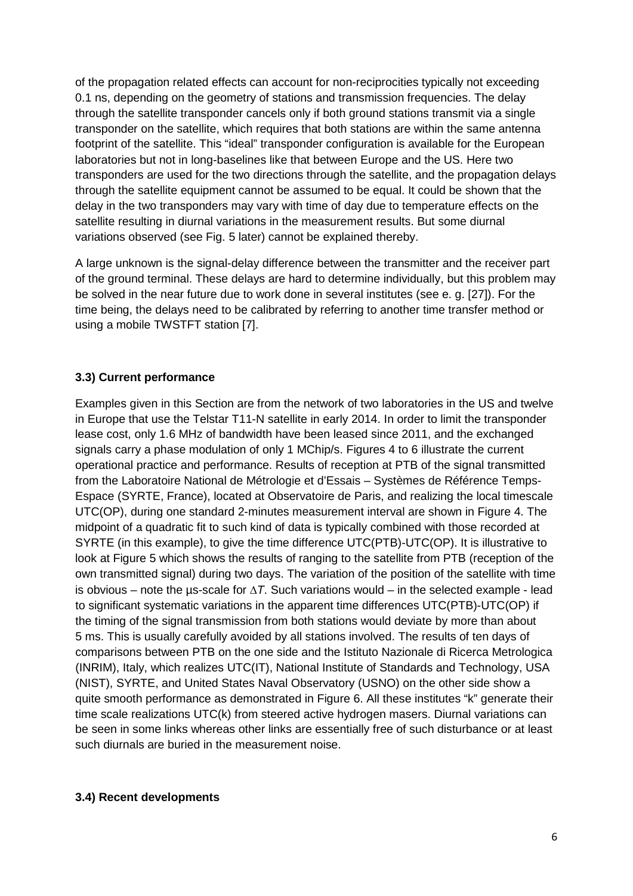of the propagation related effects can account for non-reciprocities typically not exceeding 0.1 ns, depending on the geometry of stations and transmission frequencies. The delay through the satellite transponder cancels only if both ground stations transmit via a single transponder on the satellite, which requires that both stations are within the same antenna footprint of the satellite. This "ideal" transponder configuration is available for the European laboratories but not in long-baselines like that between Europe and the US. Here two transponders are used for the two directions through the satellite, and the propagation delays through the satellite equipment cannot be assumed to be equal. It could be shown that the delay in the two transponders may vary with time of day due to temperature effects on the satellite resulting in diurnal variations in the measurement results. But some diurnal variations observed (see Fig. 5 later) cannot be explained thereby.

A large unknown is the signal-delay difference between the transmitter and the receiver part of the ground terminal. These delays are hard to determine individually, but this problem may be solved in the near future due to work done in several institutes (see e. g. [27]). For the time being, the delays need to be calibrated by referring to another time transfer method or using a mobile TWSTFT station [7].

#### **3.3) Current performance**

Examples given in this Section are from the network of two laboratories in the US and twelve in Europe that use the Telstar T11-N satellite in early 2014. In order to limit the transponder lease cost, only 1.6 MHz of bandwidth have been leased since 2011, and the exchanged signals carry a phase modulation of only 1 MChip/s. Figures 4 to 6 illustrate the current operational practice and performance. Results of reception at PTB of the signal transmitted from the Laboratoire National de Métrologie et d'Essais – Systèmes de Référence Temps-Espace (SYRTE, France), located at Observatoire de Paris, and realizing the local timescale UTC(OP), during one standard 2-minutes measurement interval are shown in Figure 4. The midpoint of a quadratic fit to such kind of data is typically combined with those recorded at SYRTE (in this example), to give the time difference UTC(PTB)-UTC(OP). It is illustrative to look at Figure 5 which shows the results of ranging to the satellite from PTB (reception of the own transmitted signal) during two days. The variation of the position of the satellite with time is obvious – note the µs-scale for ∆*T*. Such variations would – in the selected example - lead to significant systematic variations in the apparent time differences UTC(PTB)-UTC(OP) if the timing of the signal transmission from both stations would deviate by more than about 5 ms. This is usually carefully avoided by all stations involved. The results of ten days of comparisons between PTB on the one side and the Istituto Nazionale di Ricerca Metrologica (INRIM), Italy, which realizes UTC(IT), National Institute of Standards and Technology, USA (NIST), SYRTE, and United States Naval Observatory (USNO) on the other side show a quite smooth performance as demonstrated in Figure 6. All these institutes "k" generate their time scale realizations UTC(k) from steered active hydrogen masers. Diurnal variations can be seen in some links whereas other links are essentially free of such disturbance or at least such diurnals are buried in the measurement noise.

#### **3.4) Recent developments**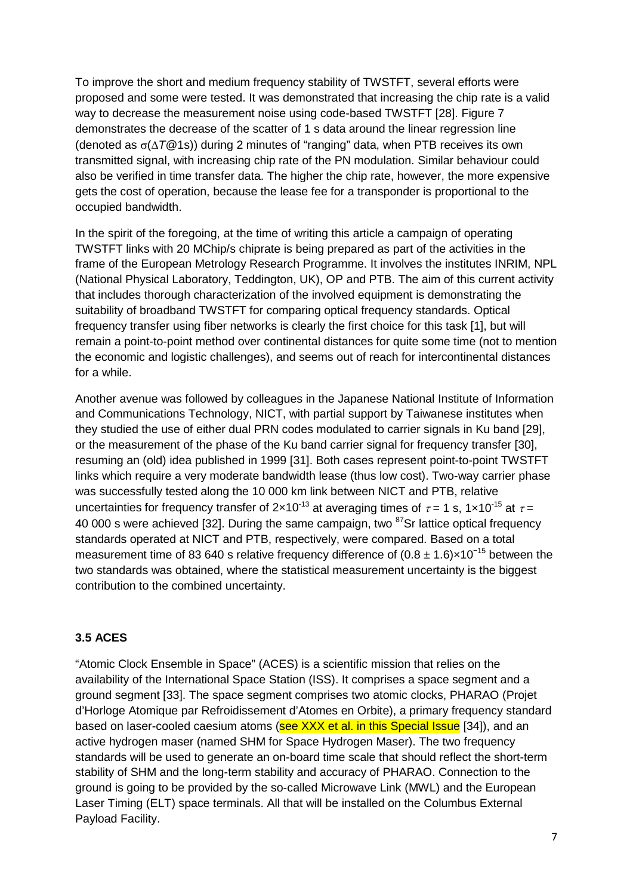To improve the short and medium frequency stability of TWSTFT, several efforts were proposed and some were tested. It was demonstrated that increasing the chip rate is a valid way to decrease the measurement noise using code-based TWSTFT [28]. Figure 7 demonstrates the decrease of the scatter of 1 s data around the linear regression line (denoted as σ(∆*T*@1s)) during 2 minutes of "ranging" data, when PTB receives its own transmitted signal, with increasing chip rate of the PN modulation. Similar behaviour could also be verified in time transfer data. The higher the chip rate, however, the more expensive gets the cost of operation, because the lease fee for a transponder is proportional to the occupied bandwidth.

In the spirit of the foregoing, at the time of writing this article a campaign of operating TWSTFT links with 20 MChip/s chiprate is being prepared as part of the activities in the frame of the European Metrology Research Programme. It involves the institutes INRIM, NPL (National Physical Laboratory, Teddington, UK), OP and PTB. The aim of this current activity that includes thorough characterization of the involved equipment is demonstrating the suitability of broadband TWSTFT for comparing optical frequency standards. Optical frequency transfer using fiber networks is clearly the first choice for this task [1], but will remain a point-to-point method over continental distances for quite some time (not to mention the economic and logistic challenges), and seems out of reach for intercontinental distances for a while.

Another avenue was followed by colleagues in the Japanese National Institute of Information and Communications Technology, NICT, with partial support by Taiwanese institutes when they studied the use of either dual PRN codes modulated to carrier signals in Ku band [29], or the measurement of the phase of the Ku band carrier signal for frequency transfer [30], resuming an (old) idea published in 1999 [31]. Both cases represent point-to-point TWSTFT links which require a very moderate bandwidth lease (thus low cost). Two-way carrier phase was successfully tested along the 10 000 km link between NICT and PTB, relative uncertainties for frequency transfer of  $2 \times 10^{-13}$  at averaging times of  $\tau = 1$  s,  $1 \times 10^{-15}$  at  $\tau =$ 40 000 s were achieved [32]. During the same campaign, two <sup>87</sup>Sr lattice optical frequency standards operated at NICT and PTB, respectively, were compared. Based on a total measurement time of 83 640 s relative frequency difference of  $(0.8 \pm 1.6) \times 10^{-15}$  between the two standards was obtained, where the statistical measurement uncertainty is the biggest contribution to the combined uncertainty.

#### **3.5 ACES**

"Atomic Clock Ensemble in Space" (ACES) is a scientific mission that relies on the availability of the International Space Station (ISS). It comprises a space segment and a ground segment [33]. The space segment comprises two atomic clocks, PHARAO (Projet d'Horloge Atomique par Refroidissement d'Atomes en Orbite), a primary frequency standard based on laser-cooled caesium atoms (see XXX et al. in this Special Issue [34]), and an active hydrogen maser (named SHM for Space Hydrogen Maser). The two frequency standards will be used to generate an on-board time scale that should reflect the short-term stability of SHM and the long-term stability and accuracy of PHARAO. Connection to the ground is going to be provided by the so-called Microwave Link (MWL) and the European Laser Timing (ELT) space terminals. All that will be installed on the Columbus External Payload Facility.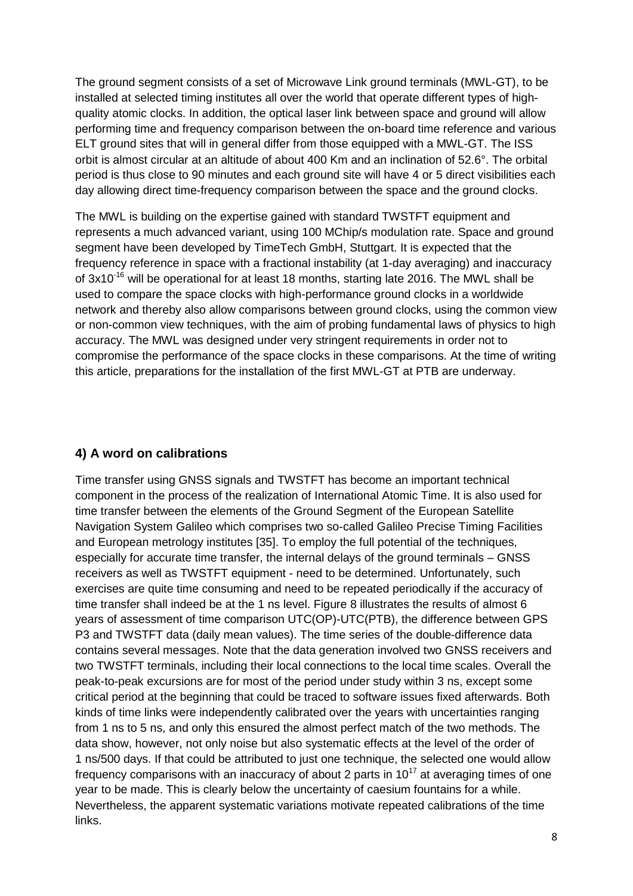The ground segment consists of a set of Microwave Link ground terminals (MWL-GT), to be installed at selected timing institutes all over the world that operate different types of highquality atomic clocks. In addition, the optical laser link between space and ground will allow performing time and frequency comparison between the on-board time reference and various ELT ground sites that will in general differ from those equipped with a MWL-GT. The ISS orbit is almost circular at an altitude of about 400 Km and an inclination of 52.6°. The orbital period is thus close to 90 minutes and each ground site will have 4 or 5 direct visibilities each day allowing direct time-frequency comparison between the space and the ground clocks.

The MWL is building on the expertise gained with standard TWSTFT equipment and represents a much advanced variant, using 100 MChip/s modulation rate. Space and ground segment have been developed by TimeTech GmbH, Stuttgart. It is expected that the frequency reference in space with a fractional instability (at 1-day averaging) and inaccuracy of 3x10<sup>-16</sup> will be operational for at least 18 months, starting late 2016. The MWL shall be used to compare the space clocks with high-performance ground clocks in a worldwide network and thereby also allow comparisons between ground clocks, using the common view or non-common view techniques, with the aim of probing fundamental laws of physics to high accuracy. The MWL was designed under very stringent requirements in order not to compromise the performance of the space clocks in these comparisons. At the time of writing this article, preparations for the installation of the first MWL-GT at PTB are underway.

#### **4) A word on calibrations**

Time transfer using GNSS signals and TWSTFT has become an important technical component in the process of the realization of International Atomic Time. It is also used for time transfer between the elements of the Ground Segment of the European Satellite Navigation System Galileo which comprises two so-called Galileo Precise Timing Facilities and European metrology institutes [35]. To employ the full potential of the techniques, especially for accurate time transfer, the internal delays of the ground terminals – GNSS receivers as well as TWSTFT equipment - need to be determined. Unfortunately, such exercises are quite time consuming and need to be repeated periodically if the accuracy of time transfer shall indeed be at the 1 ns level. Figure 8 illustrates the results of almost 6 years of assessment of time comparison UTC(OP)-UTC(PTB), the difference between GPS P3 and TWSTFT data (daily mean values). The time series of the double-difference data contains several messages. Note that the data generation involved two GNSS receivers and two TWSTFT terminals, including their local connections to the local time scales. Overall the peak-to-peak excursions are for most of the period under study within 3 ns, except some critical period at the beginning that could be traced to software issues fixed afterwards. Both kinds of time links were independently calibrated over the years with uncertainties ranging from 1 ns to 5 ns, and only this ensured the almost perfect match of the two methods. The data show, however, not only noise but also systematic effects at the level of the order of 1 ns/500 days. If that could be attributed to just one technique, the selected one would allow frequency comparisons with an inaccuracy of about 2 parts in  $10^{17}$  at averaging times of one year to be made. This is clearly below the uncertainty of caesium fountains for a while. Nevertheless, the apparent systematic variations motivate repeated calibrations of the time links.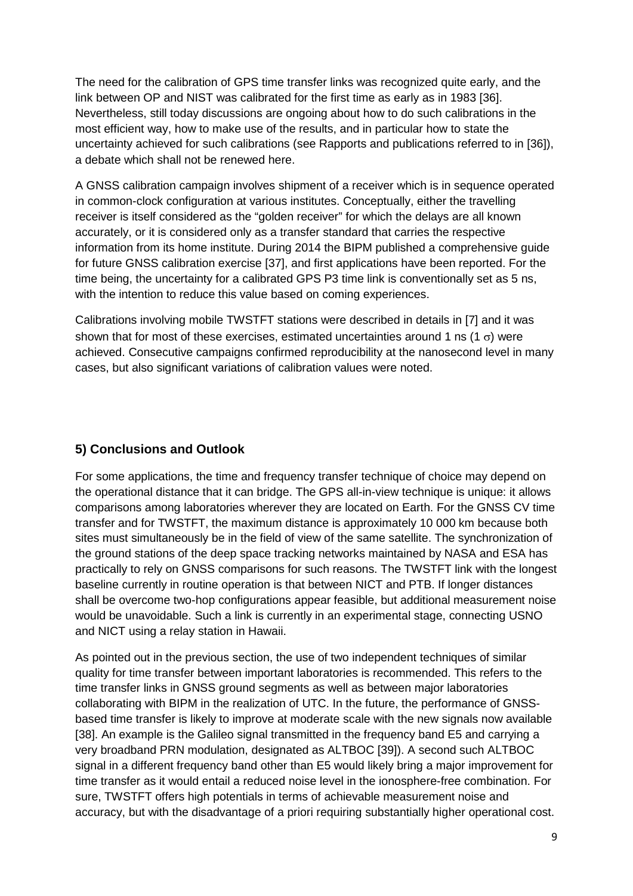The need for the calibration of GPS time transfer links was recognized quite early, and the link between OP and NIST was calibrated for the first time as early as in 1983 [36]. Nevertheless, still today discussions are ongoing about how to do such calibrations in the most efficient way, how to make use of the results, and in particular how to state the uncertainty achieved for such calibrations (see Rapports and publications referred to in [36]), a debate which shall not be renewed here.

A GNSS calibration campaign involves shipment of a receiver which is in sequence operated in common-clock configuration at various institutes. Conceptually, either the travelling receiver is itself considered as the "golden receiver" for which the delays are all known accurately, or it is considered only as a transfer standard that carries the respective information from its home institute. During 2014 the BIPM published a comprehensive guide for future GNSS calibration exercise [37], and first applications have been reported. For the time being, the uncertainty for a calibrated GPS P3 time link is conventionally set as 5 ns, with the intention to reduce this value based on coming experiences.

Calibrations involving mobile TWSTFT stations were described in details in [7] and it was shown that for most of these exercises, estimated uncertainties around 1 ns (1  $\sigma$ ) were achieved. Consecutive campaigns confirmed reproducibility at the nanosecond level in many cases, but also significant variations of calibration values were noted.

#### **5) Conclusions and Outlook**

For some applications, the time and frequency transfer technique of choice may depend on the operational distance that it can bridge. The GPS all-in-view technique is unique: it allows comparisons among laboratories wherever they are located on Earth. For the GNSS CV time transfer and for TWSTFT, the maximum distance is approximately 10 000 km because both sites must simultaneously be in the field of view of the same satellite. The synchronization of the ground stations of the deep space tracking networks maintained by NASA and ESA has practically to rely on GNSS comparisons for such reasons. The TWSTFT link with the longest baseline currently in routine operation is that between NICT and PTB. If longer distances shall be overcome two-hop configurations appear feasible, but additional measurement noise would be unavoidable. Such a link is currently in an experimental stage, connecting USNO and NICT using a relay station in Hawaii.

As pointed out in the previous section, the use of two independent techniques of similar quality for time transfer between important laboratories is recommended. This refers to the time transfer links in GNSS ground segments as well as between major laboratories collaborating with BIPM in the realization of UTC. In the future, the performance of GNSSbased time transfer is likely to improve at moderate scale with the new signals now available [38]. An example is the Galileo signal transmitted in the frequency band E5 and carrying a very broadband PRN modulation, designated as ALTBOC [39]). A second such ALTBOC signal in a different frequency band other than E5 would likely bring a major improvement for time transfer as it would entail a reduced noise level in the ionosphere-free combination. For sure, TWSTFT offers high potentials in terms of achievable measurement noise and accuracy, but with the disadvantage of a priori requiring substantially higher operational cost.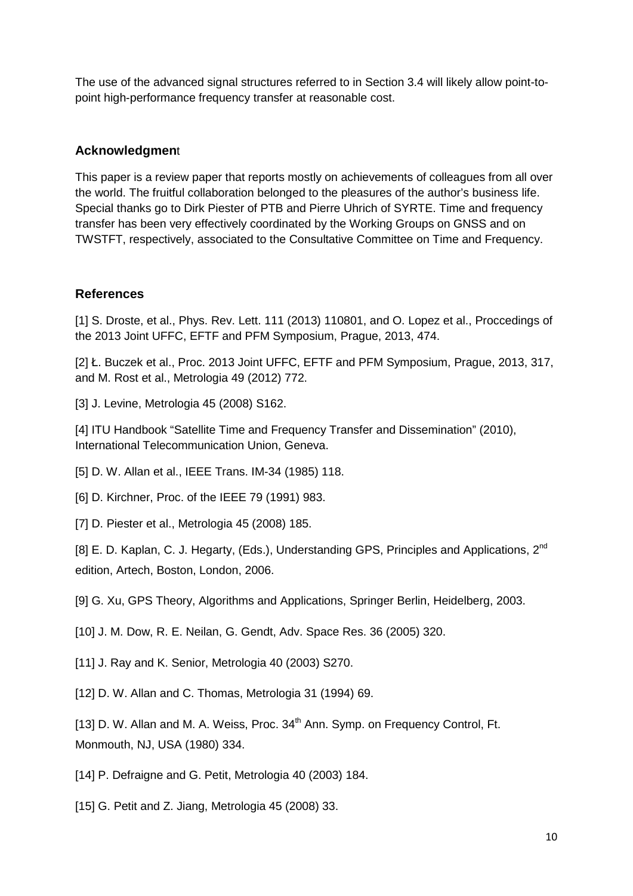The use of the advanced signal structures referred to in Section 3.4 will likely allow point-topoint high-performance frequency transfer at reasonable cost.

#### **Acknowledgmen**t

This paper is a review paper that reports mostly on achievements of colleagues from all over the world. The fruitful collaboration belonged to the pleasures of the author's business life. Special thanks go to Dirk Piester of PTB and Pierre Uhrich of SYRTE. Time and frequency transfer has been very effectively coordinated by the Working Groups on GNSS and on TWSTFT, respectively, associated to the Consultative Committee on Time and Frequency.

## **References**

[1] S. Droste, et al., Phys. Rev. Lett. 111 (2013) 110801, and O. Lopez et al., Proccedings of the 2013 Joint UFFC, EFTF and PFM Symposium, Prague, 2013, 474.

[2] Ł. Buczek et al., Proc. 2013 Joint UFFC, EFTF and PFM Symposium, Prague, 2013, 317, and M. Rost et al., Metrologia 49 (2012) 772.

[3] J. Levine, Metrologia 45 (2008) S162.

[4] ITU Handbook "Satellite Time and Frequency Transfer and Dissemination" (2010), International Telecommunication Union, Geneva.

[5] D. W. Allan et al., IEEE Trans. IM-34 (1985) 118.

[6] D. Kirchner, Proc. of the IEEE 79 (1991) 983.

[7] D. Piester et al., Metrologia 45 (2008) 185.

[8] E. D. Kaplan, C. J. Hegarty, (Eds.), Understanding GPS, Principles and Applications, 2<sup>nd</sup> edition, Artech, Boston, London, 2006.

[9] G. Xu, GPS Theory, Algorithms and Applications, Springer Berlin, Heidelberg, 2003.

[10] J. M. Dow, R. E. Neilan, G. Gendt, Adv. Space Res. 36 (2005) 320.

[11] J. Ray and K. Senior, Metrologia 40 (2003) S270.

[12] D. W. Allan and C. Thomas, Metrologia 31 (1994) 69.

[13] D. W. Allan and M. A. Weiss, Proc. 34<sup>th</sup> Ann. Symp. on Frequency Control, Ft. Monmouth, NJ, USA (1980) 334.

[14] P. Defraigne and G. Petit, Metrologia 40 (2003) 184.

[15] G. Petit and Z. Jiang, Metrologia 45 (2008) 33.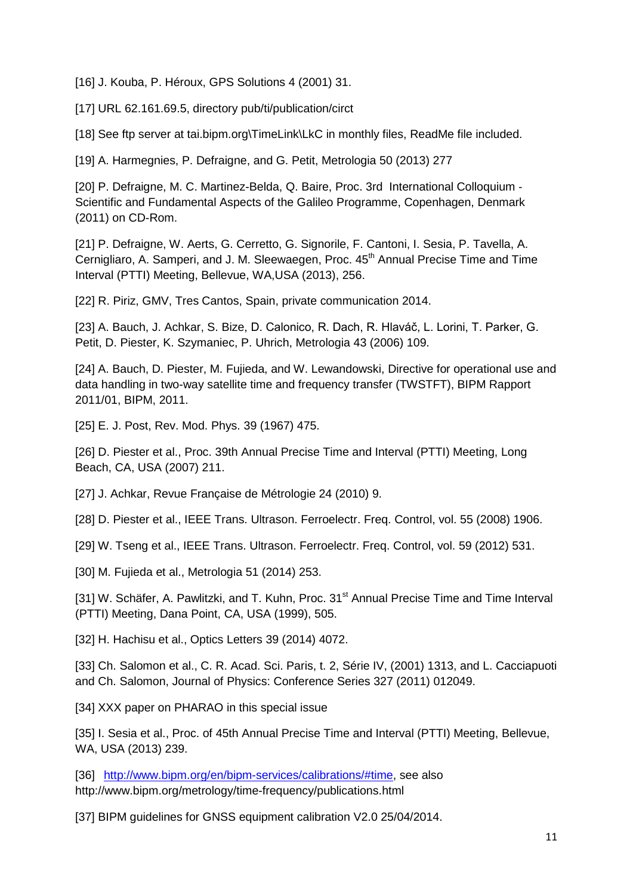[16] J. Kouba, P. Héroux, GPS Solutions 4 (2001) 31.

[17] URL 62.161.69.5, directory pub/ti/publication/circt

[18] See ftp server at tai.bipm.org\TimeLink\LkC in monthly files, ReadMe file included.

[19] A. Harmegnies, P. Defraigne, and G. Petit, Metrologia 50 (2013) 277

[20] P. Defraigne, M. C. Martinez-Belda, Q. Baire, Proc. 3rd International Colloquium ‐ Scientific and Fundamental Aspects of the Galileo Programme, Copenhagen, Denmark (2011) on CD-Rom.

[21] P. Defraigne, W. Aerts, G. Cerretto, G. Signorile, F. Cantoni, I. Sesia, P. Tavella, A. Cernigliaro, A. Samperi, and J. M. Sleewaegen, Proc. 45<sup>th</sup> Annual Precise Time and Time Interval (PTTI) Meeting, Bellevue, WA,USA (2013), 256.

[22] R. Piriz, GMV, Tres Cantos, Spain, private communication 2014.

[23] A. Bauch, J. Achkar, S. Bize, D. Calonico, R. Dach, R. Hlaváč, L. Lorini, T. Parker, G. Petit, D. Piester, K. Szymaniec, P. Uhrich, Metrologia 43 (2006) 109.

[24] A. Bauch, D. Piester, M. Fujieda, and W. Lewandowski, Directive for operational use and data handling in two-way satellite time and frequency transfer (TWSTFT), BIPM Rapport 2011/01, BIPM, 2011.

[25] E. J. Post, Rev. Mod. Phys. 39 (1967) 475.

[26] D. Piester et al., Proc. 39th Annual Precise Time and Interval (PTTI) Meeting, Long Beach, CA, USA (2007) 211.

[27] J. Achkar, Revue Française de Métrologie 24 (2010) 9.

[28] D. Piester et al., IEEE Trans. Ultrason. Ferroelectr. Freq. Control, vol. 55 (2008) 1906.

[29] W. Tseng et al., IEEE Trans. Ultrason. Ferroelectr. Freq. Control, vol. 59 (2012) 531.

[30] M. Fujieda et al., Metrologia 51 (2014) 253.

[31] W. Schäfer, A. Pawlitzki, and T. Kuhn, Proc. 31<sup>st</sup> Annual Precise Time and Time Interval (PTTI) Meeting, Dana Point, CA, USA (1999), 505.

[32] H. Hachisu et al., Optics Letters 39 (2014) 4072.

[33] Ch. Salomon et al., C. R. Acad. Sci. Paris, t. 2, Série IV, (2001) 1313, and L. Cacciapuoti and Ch. Salomon, Journal of Physics: Conference Series 327 (2011) 012049.

[34] XXX paper on PHARAO in this special issue

[35] I. Sesia et al., Proc. of 45th Annual Precise Time and Interval (PTTI) Meeting, Bellevue, WA, USA (2013) 239.

[36] [http://www.bipm.org/en/bipm-services/calibrations/#time,](http://www.bipm.org/en/bipm-services/calibrations/#time) see also http://www.bipm.org/metrology/time-frequency/publications.html

[37] BIPM guidelines for GNSS equipment calibration V2.0 25/04/2014.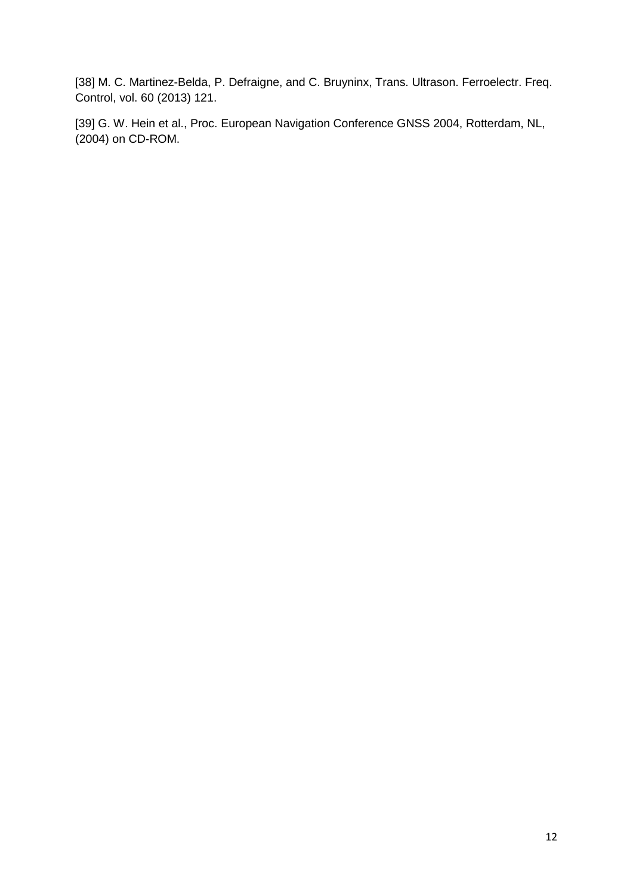[38] M. C. Martinez-Belda, P. Defraigne, and C. Bruyninx, Trans. Ultrason. Ferroelectr. Freq. Control, vol. 60 (2013) 121.

[39] G. W. Hein et al., Proc. European Navigation Conference GNSS 2004, Rotterdam, NL, (2004) on CD-ROM.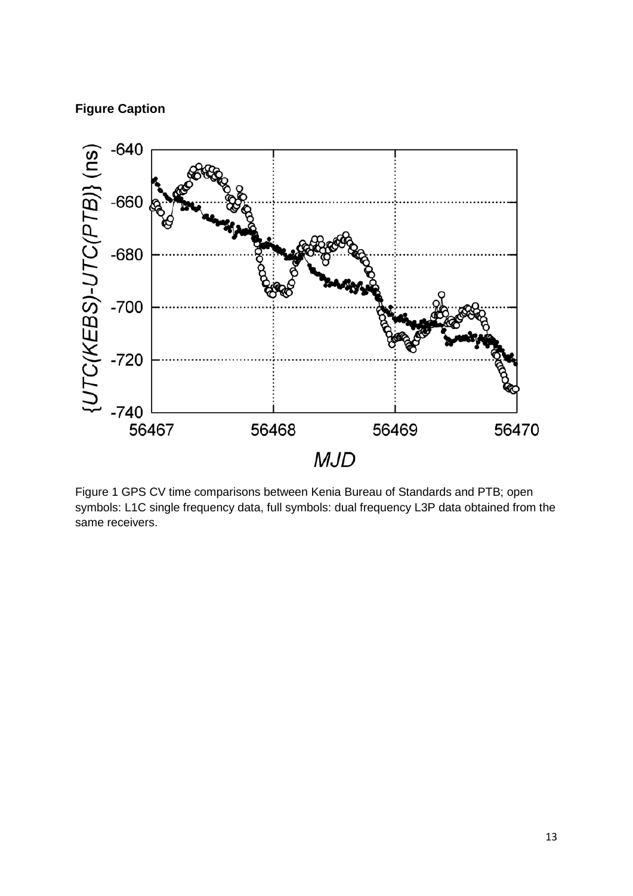## **Figure Caption**



Figure 1 GPS CV time comparisons between Kenia Bureau of Standards and PTB; open symbols: L1C single frequency data, full symbols: dual frequency L3P data obtained from the same receivers.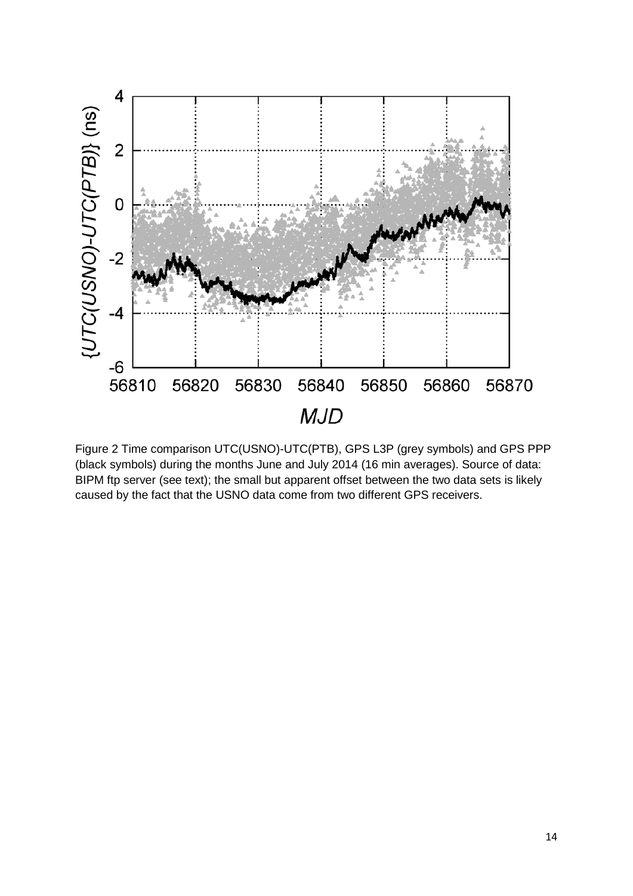

Figure 2 Time comparison UTC(USNO)-UTC(PTB), GPS L3P (grey symbols) and GPS PPP (black symbols) during the months June and July 2014 (16 min averages). Source of data: BIPM ftp server (see text); the small but apparent offset between the two data sets is likely caused by the fact that the USNO data come from two different GPS receivers.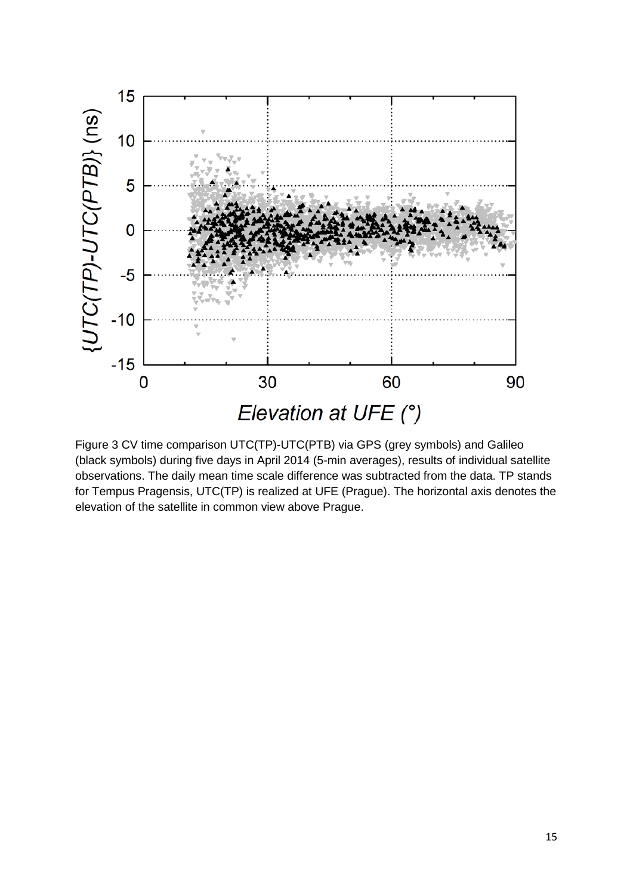

Figure 3 CV time comparison UTC(TP)-UTC(PTB) via GPS (grey symbols) and Galileo (black symbols) during five days in April 2014 (5-min averages), results of individual satellite observations. The daily mean time scale difference was subtracted from the data. TP stands for Tempus Pragensis, UTC(TP) is realized at UFE (Prague). The horizontal axis denotes the elevation of the satellite in common view above Prague.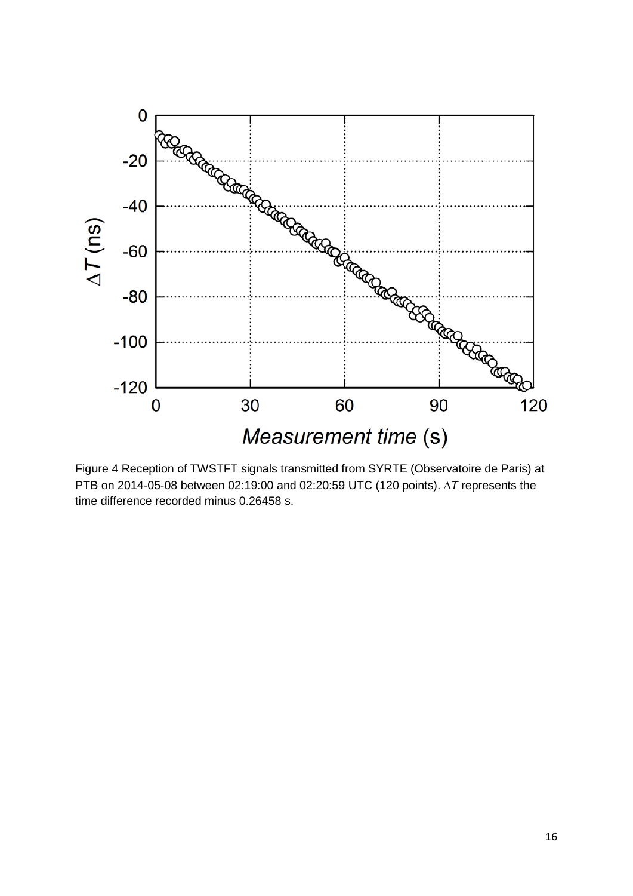

Figure 4 Reception of TWSTFT signals transmitted from SYRTE (Observatoire de Paris) at PTB on 2014-05-08 between 02:19:00 and 02:20:59 UTC (120 points). ∆*T* represents the time difference recorded minus 0.26458 s.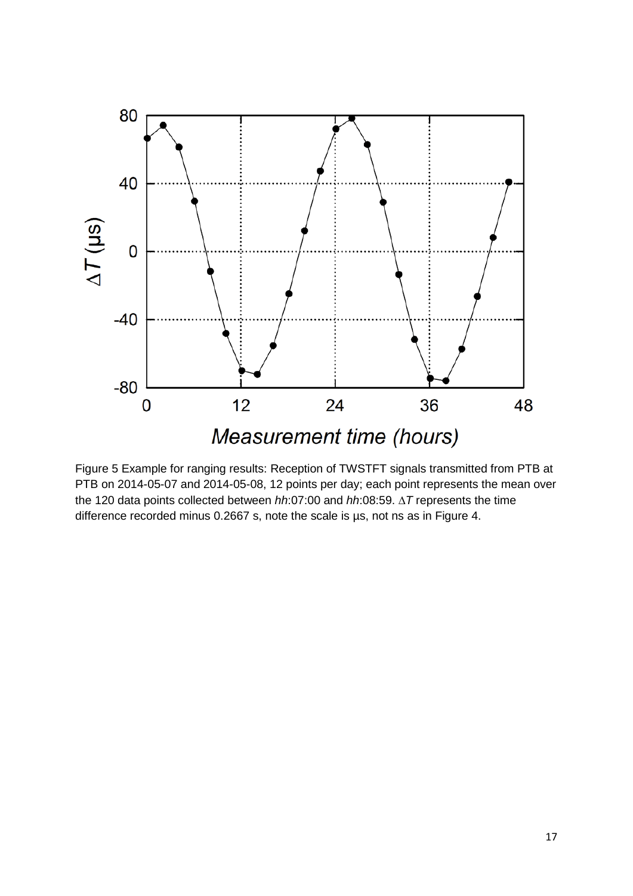

Figure 5 Example for ranging results: Reception of TWSTFT signals transmitted from PTB at PTB on 2014-05-07 and 2014-05-08, 12 points per day; each point represents the mean over the 120 data points collected between *hh*:07:00 and *hh*:08:59. ∆*T* represents the time difference recorded minus 0.2667 s, note the scale is µs, not ns as in Figure 4.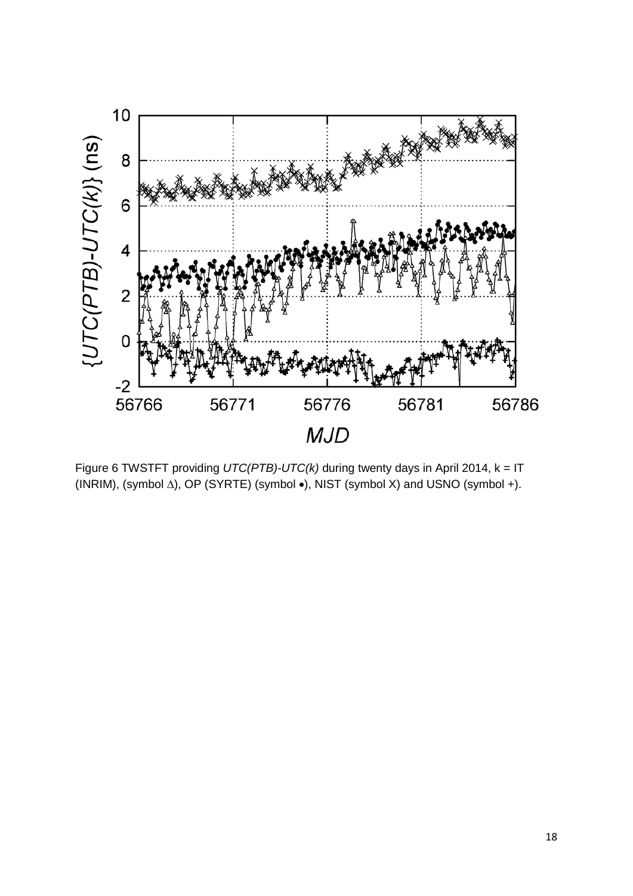

Figure 6 TWSTFT providing *UTC(PTB)-UTC(k)* during twenty days in April 2014, k = IT (INRIM), (symbol ∆), OP (SYRTE) (symbol •), NIST (symbol X) and USNO (symbol +).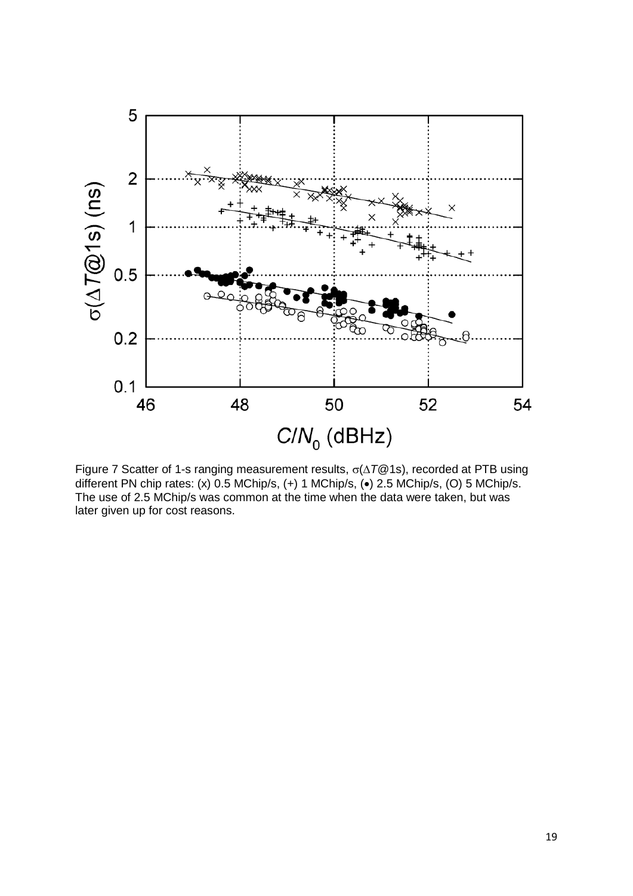

Figure 7 Scatter of 1-s ranging measurement results, σ(∆*T*@1s), recorded at PTB using different PN chip rates: (x) 0.5 MChip/s, (+) 1 MChip/s, (•) 2.5 MChip/s, (O) 5 MChip/s. The use of 2.5 MChip/s was common at the time when the data were taken, but was later given up for cost reasons.